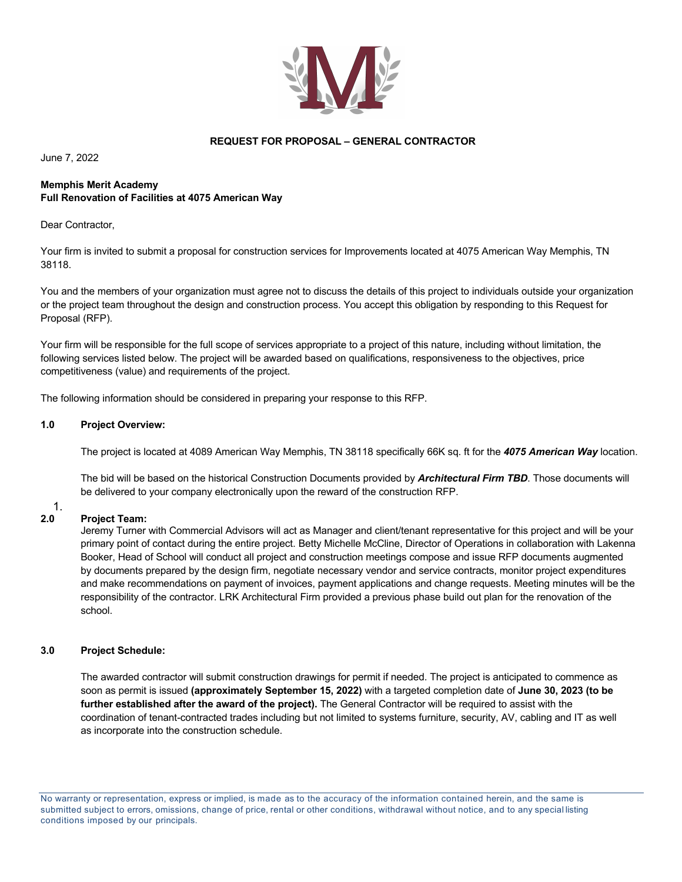

# **REQUEST FOR PROPOSAL – GENERAL CONTRACTOR**

June 7, 2022

## **Memphis Merit Academy Full Renovation of Facilities at 4075 American Way**

Dear Contractor.

Your firm is invited to submit a proposal for construction services for Improvements located at 4075 American Way Memphis, TN 38118.

You and the members of your organization must agree not to discuss the details of this project to individuals outside your organization or the project team throughout the design and construction process. You accept this obligation by responding to this Request for Proposal (RFP).

Your firm will be responsible for the full scope of services appropriate to a project of this nature, including without limitation, the following services listed below. The project will be awarded based on qualifications, responsiveness to the objectives, price competitiveness (value) and requirements of the project.

The following information should be considered in preparing your response to this RFP.

# **1.0 Project Overview:**

The project is located at 4089 American Way Memphis, TN 38118 specifically 66K sq. ft for the *4075 American Way* location.

The bid will be based on the historical Construction Documents provided by *Architectural Firm TBD*. Those documents will be delivered to your company electronically upon the reward of the construction RFP.

#### $\frac{1}{2.0}$ **2.0 Project Team:**

Jeremy Turner with Commercial Advisors will act as Manager and client/tenant representative for this project and will be your primary point of contact during the entire project. Betty Michelle McCline, Director of Operations in collaboration with Lakenna Booker, Head of School will conduct all project and construction meetings compose and issue RFP documents augmented by documents prepared by the design firm, negotiate necessary vendor and service contracts, monitor project expenditures and make recommendations on payment of invoices, payment applications and change requests. Meeting minutes will be the responsibility of the contractor. LRK Architectural Firm provided a previous phase build out plan for the renovation of the school.

# **3.0 Project Schedule:**

The awarded contractor will submit construction drawings for permit if needed. The project is anticipated to commence as soon as permit is issued **(approximately September 15, 2022)** with a targeted completion date of **June 30, 2023 (to be further established after the award of the project).** The General Contractor will be required to assist with the coordination of tenant-contracted trades including but not limited to systems furniture, security, AV, cabling and IT as well as incorporate into the construction schedule.

No warranty or representation, express or implied, is made as to the accuracy of the information contained herein, and the same is submitted subject to errors, omissions, change of price, rental or other conditions, withdrawal without notice, and to any special listing conditions imposed by our principals.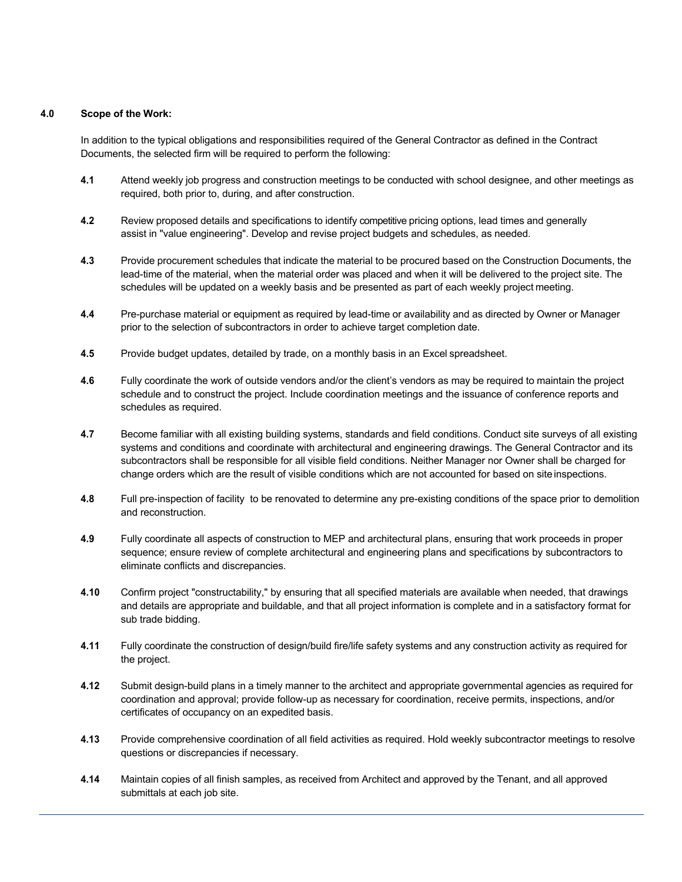# **4.0 Scope of the Work:**

In addition to the typical obligations and responsibilities required of the General Contractor as defined in the Contract Documents, the selected firm will be required to perform the following:

- **4.1** Attend weekly job progress and construction meetings to be conducted with school designee, and other meetings as required, both prior to, during, and after construction.
- **4.2** Review proposed details and specifications to identify competitive pricing options, lead times and generally assist in "value engineering". Develop and revise project budgets and schedules, as needed.
- **4.3** Provide procurement schedules that indicate the material to be procured based on the Construction Documents, the lead-time of the material, when the material order was placed and when it will be delivered to the project site. The schedules will be updated on a weekly basis and be presented as part of each weekly project meeting.
- **4.4** Pre-purchase material or equipment as required by lead-time or availability and as directed by Owner or Manager prior to the selection of subcontractors in order to achieve target completion date.
- **4.5** Provide budget updates, detailed by trade, on a monthly basis in an Excel spreadsheet.
- **4.6** Fully coordinate the work of outside vendors and/or the client's vendors as may be required to maintain the project schedule and to construct the project. Include coordination meetings and the issuance of conference reports and schedules as required.
- **4.7** Become familiar with all existing building systems, standards and field conditions. Conduct site surveys of all existing systems and conditions and coordinate with architectural and engineering drawings. The General Contractor and its subcontractors shall be responsible for all visible field conditions. Neither Manager nor Owner shall be charged for change orders which are the result of visible conditions which are not accounted for based on site inspections.
- **4.8** Full pre-inspection of facility to be renovated to determine any pre-existing conditions of the space prior to demolition and reconstruction.
- **4.9** Fully coordinate all aspects of construction to MEP and architectural plans, ensuring that work proceeds in proper sequence; ensure review of complete architectural and engineering plans and specifications by subcontractors to eliminate conflicts and discrepancies.
- **4.10** Confirm project "constructability," by ensuring that all specified materials are available when needed, that drawings and details are appropriate and buildable, and that all project information is complete and in a satisfactory format for sub trade bidding.
- **4.11** Fully coordinate the construction of design/build fire/life safety systems and any construction activity as required for the project.
- **4.12** Submit design-build plans in a timely manner to the architect and appropriate governmental agencies as required for coordination and approval; provide follow-up as necessary for coordination, receive permits, inspections, and/or certificates of occupancy on an expedited basis.
- **4.13** Provide comprehensive coordination of all field activities as required. Hold weekly subcontractor meetings to resolve questions or discrepancies if necessary.
- **4.14** Maintain copies of all finish samples, as received from Architect and approved by the Tenant, and all approved submittals at each job site.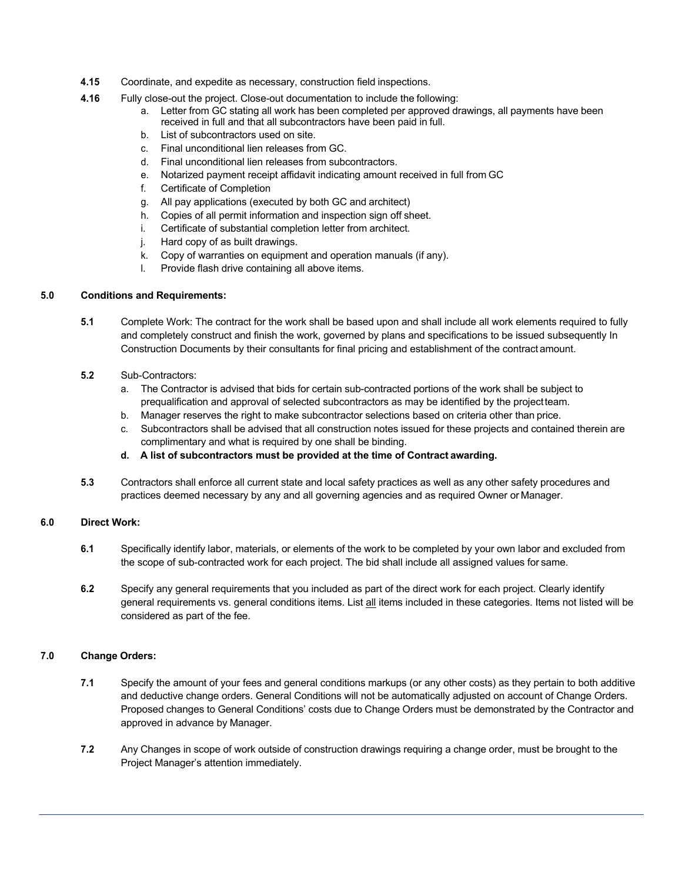- **4.15** Coordinate, and expedite as necessary, construction field inspections.
- **4.16** Fully close-out the project. Close-out documentation to include the following:
	- a. Letter from GC stating all work has been completed per approved drawings, all payments have been received in full and that all subcontractors have been paid in full.
	- b. List of subcontractors used on site.
	- c. Final unconditional lien releases from GC.
	- d. Final unconditional lien releases from subcontractors.
	- e. Notarized payment receipt affidavit indicating amount received in full from GC
	- f. Certificate of Completion
	- g. All pay applications (executed by both GC and architect)
	- h. Copies of all permit information and inspection sign off sheet.
	- i. Certificate of substantial completion letter from architect.
	- j. Hard copy of as built drawings.
	- k. Copy of warranties on equipment and operation manuals (if any).
	- l. Provide flash drive containing all above items.

# **5.0 Conditions and Requirements:**

- **5.1** Complete Work: The contract for the work shall be based upon and shall include all work elements required to fully and completely construct and finish the work, governed by plans and specifications to be issued subsequently In Construction Documents by their consultants for final pricing and establishment of the contract amount.
- **5.2** Sub-Contractors:
	- a. The Contractor is advised that bids for certain sub-contracted portions of the work shall be subject to prequalification and approval of selected subcontractors as may be identified by the projectteam.
	- b. Manager reserves the right to make subcontractor selections based on criteria other than price.
	- c. Subcontractors shall be advised that all construction notes issued for these projects and contained therein are complimentary and what is required by one shall be binding.
	- **d. A list of subcontractors must be provided at the time of Contract awarding.**
- **5.3** Contractors shall enforce all current state and local safety practices as well as any other safety procedures and practices deemed necessary by any and all governing agencies and as required Owner or Manager.

# **6.0 Direct Work:**

- **6.1** Specifically identify labor, materials, or elements of the work to be completed by your own labor and excluded from the scope of sub-contracted work for each project. The bid shall include all assigned values for same.
- **6.2** Specify any general requirements that you included as part of the direct work for each project. Clearly identify general requirements vs. general conditions items. List all items included in these categories. Items not listed will be considered as part of the fee.

# **7.0 Change Orders:**

- **7.1** Specify the amount of your fees and general conditions markups (or any other costs) as they pertain to both additive and deductive change orders. General Conditions will not be automatically adjusted on account of Change Orders. Proposed changes to General Conditions' costs due to Change Orders must be demonstrated by the Contractor and approved in advance by Manager.
- **7.2** Any Changes in scope of work outside of construction drawings requiring a change order, must be brought to the Project Manager's attention immediately.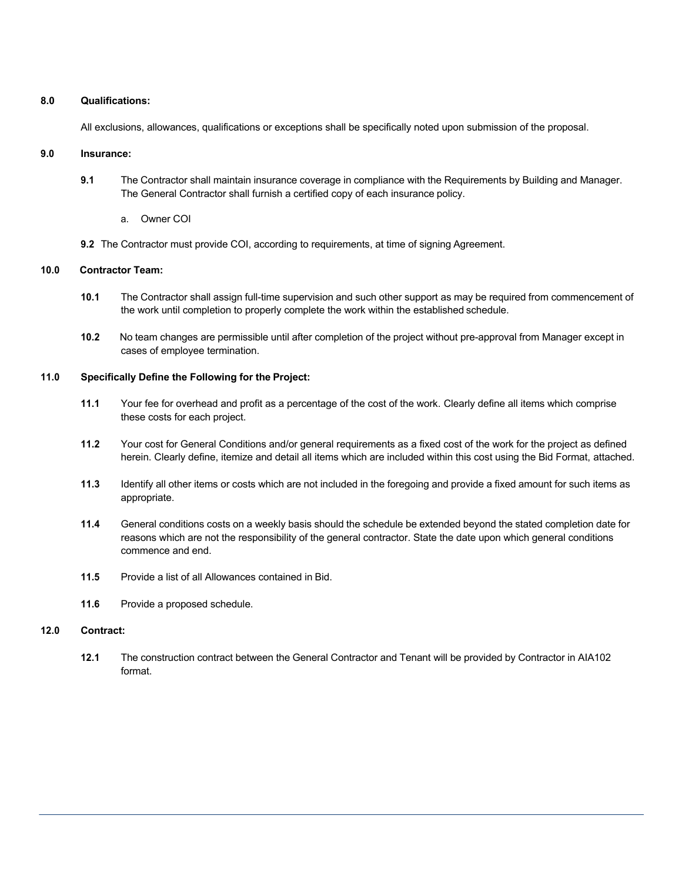### **8.0 Qualifications:**

All exclusions, allowances, qualifications or exceptions shall be specifically noted upon submission of the proposal.

### **9.0 Insurance:**

- **9.1** The Contractor shall maintain insurance coverage in compliance with the Requirements by Building and Manager. The General Contractor shall furnish a certified copy of each insurance policy.
	- a. Owner COI
- **9.2** The Contractor must provide COI, according to requirements, at time of signing Agreement.

## **10.0 Contractor Team:**

- **10.1** The Contractor shall assign full-time supervision and such other support as may be required from commencement of the work until completion to properly complete the work within the established schedule.
- **10.2** No team changes are permissible until after completion of the project without pre-approval from Manager except in cases of employee termination.

# **11.0 Specifically Define the Following for the Project:**

- **11.1** Your fee for overhead and profit as a percentage of the cost of the work. Clearly define all items which comprise these costs for each project.
- **11.2** Your cost for General Conditions and/or general requirements as a fixed cost of the work for the project as defined herein. Clearly define, itemize and detail all items which are included within this cost using the Bid Format, attached.
- **11.3** Identify all other items or costs which are not included in the foregoing and provide a fixed amount for such items as appropriate.
- **11.4** General conditions costs on a weekly basis should the schedule be extended beyond the stated completion date for reasons which are not the responsibility of the general contractor. State the date upon which general conditions commence and end.
- **11.5** Provide a list of all Allowances contained in Bid.
- **11.6** Provide a proposed schedule.

# **12.0 Contract:**

**12.1** The construction contract between the General Contractor and Tenant will be provided by Contractor in AIA102 format.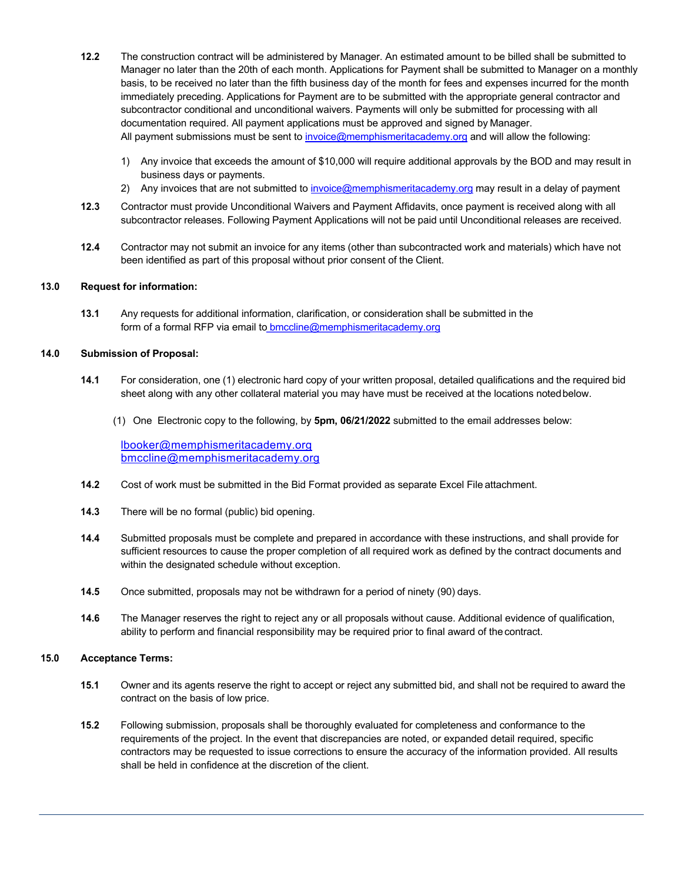- **12.2** The construction contract will be administered by Manager. An estimated amount to be billed shall be submitted to Manager no later than the 20th of each month. Applications for Payment shall be submitted to Manager on a monthly basis, to be received no later than the fifth business day of the month for fees and expenses incurred for the month immediately preceding. Applications for Payment are to be submitted with the appropriate general contractor and subcontractor conditional and unconditional waivers. Payments will only be submitted for processing with all documentation required. All payment applications must be approved and signed by Manager. All payment submissions must be sent to invoice@memphismeritacademy.org and will allow the following:
	- 1) Any invoice that exceeds the amount of \$10,000 will require additional approvals by the BOD and may result in business days or payments.
	- 2) Any invoices that are not submitted to invoice@memphismeritacademy.org may result in a delay of payment
- **12.3** Contractor must provide Unconditional Waivers and Payment Affidavits, once payment is received along with all subcontractor releases. Following Payment Applications will not be paid until Unconditional releases are received.
- **12.4** Contractor may not submit an invoice for any items (other than subcontracted work and materials) which have not been identified as part of this proposal without prior consent of the Client.

## **13.0 Request for information:**

**13.1** Any requests for additional information, clarification, or consideration shall be submitted in the form of a formal RFP via email to **bmccline@memphismeritacademy.org** 

#### **14.0 Submission of Proposal:**

- **14.1** For consideration, one (1) electronic hard copy of your written proposal, detailed qualifications and the required bid sheet along with any other collateral material you may have must be received at the locations notedbelow.
	- (1) One Electronic copy to the following, by **5pm, 06/21/2022** submitted to the email addresses below:

lbooker@memphismeritacademy.org bmccline@memphismeritacademy.org

- **14.2** Cost of work must be submitted in the Bid Format provided as separate Excel File attachment.
- **14.3** There will be no formal (public) bid opening.
- **14.4** Submitted proposals must be complete and prepared in accordance with these instructions, and shall provide for sufficient resources to cause the proper completion of all required work as defined by the contract documents and within the designated schedule without exception.
- **14.5** Once submitted, proposals may not be withdrawn for a period of ninety (90) days.
- **14.6** The Manager reserves the right to reject any or all proposals without cause. Additional evidence of qualification, ability to perform and financial responsibility may be required prior to final award of the contract.

#### **15.0 Acceptance Terms:**

- **15.1** Owner and its agents reserve the right to accept or reject any submitted bid, and shall not be required to award the contract on the basis of low price.
- **15.2** Following submission, proposals shall be thoroughly evaluated for completeness and conformance to the requirements of the project. In the event that discrepancies are noted, or expanded detail required, specific contractors may be requested to issue corrections to ensure the accuracy of the information provided. All results shall be held in confidence at the discretion of the client.